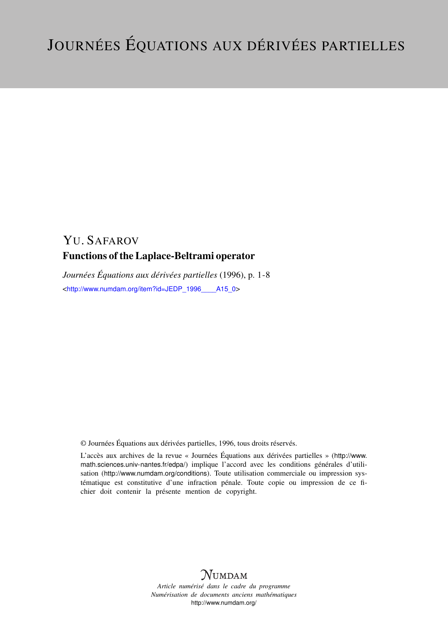# YU. SAFAROV Functions of the Laplace-Beltrami operator

*Journées Équations aux dérivées partielles* (1996), p. 1-8 <[http://www.numdam.org/item?id=JEDP\\_1996\\_\\_\\_\\_A15\\_0](http://www.numdam.org/item?id=JEDP_1996____A15_0)>

© Journées Équations aux dérivées partielles, 1996, tous droits réservés.

L'accès aux archives de la revue « Journées Équations aux dérivées partielles » ([http://www.](http://www.math.sciences.univ-nantes.fr/edpa/) [math.sciences.univ-nantes.fr/edpa/](http://www.math.sciences.univ-nantes.fr/edpa/)) implique l'accord avec les conditions générales d'utilisation (<http://www.numdam.org/conditions>). Toute utilisation commerciale ou impression systématique est constitutive d'une infraction pénale. Toute copie ou impression de ce fichier doit contenir la présente mention de copyright.



*Article numérisé dans le cadre du programme Numérisation de documents anciens mathématiques* <http://www.numdam.org/>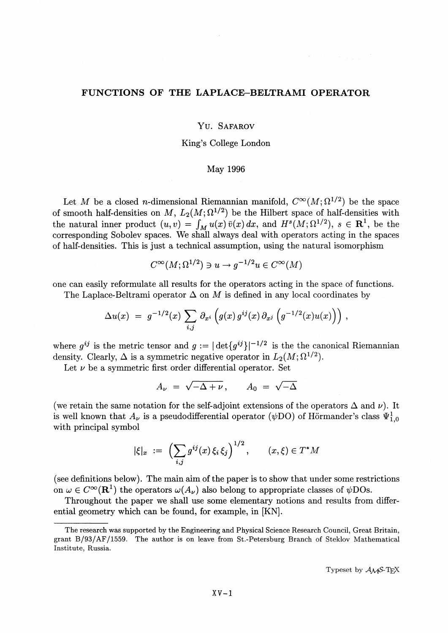# **FUNCTIONS OF THE LAPLACE-BELTRAMI OPERATOR**

## Yu. SAFAROV

# King^s College London

## May 1996

Let *M* be a closed *n*-dimensional Riemannian manifold,  $C^{\infty}(M; \Omega^{1/2})$  be the space of smooth half-densities on M,  $L_2(M;\Omega^{1/2})$  be the Hilbert space of half-densities with the natural inner product  $(u, v) = \int_M u(x)\overline{v}(x) dx$ , and  $H^s(M; \Omega^{1/2}), s \in \mathbb{R}^1$ , be the corresponding Sobolev spaces. We shall always deal with operators acting in the spaces of half-densities. This is just a technical assumption, using the natural isomorphism

$$
C^{\infty}(M; \Omega^{1/2}) \ni u \to g^{-1/2}u \in C^{\infty}(M)
$$

one can easily reformulate all results for the operators acting in the space of functions.

The Laplace-Beltrami operator  $\Delta$  on M is defined in any local coordinates by

$$
\Delta u(x) = g^{-1/2}(x) \sum_{i,j} \partial_{x^i} \left( g(x) g^{ij}(x) \partial_{x^j} \left( g^{-1/2}(x) u(x) \right) \right),
$$

where  $g^{ij}$  is the metric tensor and  $g := |\det\{g^{ij}\}|^{-1/2}$  is the the canonical Riemannian density. Clearly,  $\Delta$  is a symmetric negative operator in  $L_2(M; \Omega^{1/2})$ .

Let  $\nu$  be a symmetric first order differential operator. Set

$$
A_{\nu} = \sqrt{-\Delta + \nu}, \qquad A_0 = \sqrt{-\Delta}
$$

(we retain the same notation for the self-adjoint extensions of the operators  $\Delta$  and  $\nu$ ). It is well known that  $A_{\nu}$  is a pseudodifferential operator ( $\psi$ DO) of Hörmander's class  $\Psi_{1,0}^1$ with principal symbol

$$
|\xi|_x := \left(\sum_{i,j} g^{ij}(x)\xi_i\xi_j\right)^{1/2}, \quad (x,\xi) \in T^*M
$$

(see definitions below). The main aim of the paper is to show that under some restrictions on  $\omega \in C^{\infty}(\mathbb{R}^1)$  the operators  $\omega(A_\nu)$  also belong to appropriate classes of  $\psi$ DOs.

Throughout the paper we shall use some elementary notions and results from differential geometry which can be found, for example, in [KN],

Typeset by  $A\mathcal{M}S$ -T<sub>E</sub>X

The research was supported by the Engineering and Physical Science Research Council, Great Britain, grant B/93/AF/1559. The author is on leave from St.-Petersburg Branch of Steklov Mathematical Institute, Russia.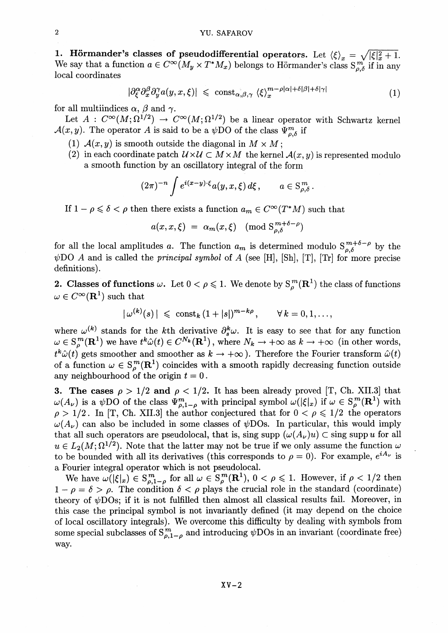**1. Hörmander's classes of pseudodifferential operators.** Let  $\langle \xi \rangle_x = \sqrt{|\xi|^2_x + 1}$ . We say that a function  $a \in C^{\infty}(M_y \times T^*M_x)$  belongs to Hörmander's class  $S^{m}_{a}$  if in any local coordinates

$$
|\partial_{\xi}^{\alpha}\partial_{x}^{\beta}\partial_{y}^{\gamma}a(y,x,\xi)| \leq \mathrm{const}_{\alpha,\beta,\gamma} \langle \xi \rangle_{x}^{m-\rho|\alpha|+\delta|\beta|+\delta|\gamma|}
$$
(1)

for all multiindices  $\alpha$ ,  $\beta$  and  $\gamma$ .

Let  $A: C^{\infty}(M; \Omega^{1/2}) \to C^{\infty}(M; \Omega^{1/2})$  be a linear operator with Schwartz kernel  $\mathcal{A}(x, y)$ . The operator A is said to be a  $\psi$ DO of the class  $\Psi_{a}^{m}$  if

- (1)  $A(x, y)$  is smooth outside the diagonal in  $M \times M$ ;
- (2) in each coordinate patch  $\mathcal{U} \times \mathcal{U} \subset M \times M$  the kernel  $\mathcal{A}(x, y)$  is represented modulo a smooth function by an oscillatory integral of the form

$$
(2\pi)^{-n}\int e^{i(x-y)\cdot\xi}a(y,x,\xi)\,d\xi\,,\qquad a\in\mathcal{S}_{\rho,\delta}^m\,.
$$

If  $1 - \rho \leq \delta < \rho$  then there exists a function  $a_m \in C^{\infty}(T^*M)$  such that

$$
a(x, x, \xi) = \alpha_m(x, \xi) \pmod{\mathcal{S}_{\rho, \delta}^{m+\delta-\rho}}
$$

for all the local amplitudes a. The function  $a_m$  is determined modulo  $S_{\alpha\beta}^{m+\delta-\rho}$  by the  $\psi$ DO A and is called the *principal symbol* of A (see [H], [Sh], [T], [Tr] for more precise definitions).

**2. Classes of functions**  $\omega$ . Let  $0 < \rho \leq 1$ . We denote by  $S^m_{\rho}(\mathbb{R}^1)$  the class of functions  $\omega \in C^{\infty}(\mathbf{R}^1)$  such that

$$
|\,\omega^{(k)}(s)\,| \,\,\leqslant\,\,\text{const}_k\,(1+|s|)^{m-k\rho}\,,\qquad \forall\,k=0,1,\ldots,
$$

where  $\omega^{(k)}$  stands for the *k*th derivative  $\partial_s^k \omega$ . It is easy to see that for any function  $\omega \in S_\rho^m(\mathbf{R}^1)$  we have  $t^k \hat{\omega}(t) \in C^{N_k}(\mathbf{R}^1)$ , where  $N_k \to +\infty$  as  $k \to +\infty$  (in other words, where  $\omega^{(n)}$  stands for the *k*th derivat  $\omega \in S^m_{\rho}(\mathbf{R}^1)$  we have  $t^k \hat{\omega}(t) \in C^{N_k}(\mathbf{R}^1)$  $t^k \hat{\omega}(t)$  gets smoother and smoother as  $k \to +\infty$ ). Therefore the Fourier transform  $\hat{\omega}(t)$ of a function  $\omega \in S^m(\mathbf{R}^1)$  coincides with a smooth rapidly decreasing function outside any neighbourhood of the origin *t* = 0.

**3. The cases**  $\rho > 1/2$  and  $\rho < 1/2$ . It has been already proved [T, Ch. XII.3] that  $\omega(A_{\nu})$  is a  $\psi$ DO of the class  $\Psi_{a,1-\rho}^m$  with principal symbol  $\omega(|\xi|_{x})$  if  $\omega \in S^m(\mathbf{R}^1)$  with  $\rho > 1/2$ . In [T, Ch. XII.3] the author conjectured that for  $0 < \rho \leq 1/2$  the operators  $\omega(A_{\nu})$  can also be included in some classes of  $\psi$ DOs. In particular, this would imply that all such operators are pseudolocal, that is, sing supp  $(\omega(A_{\nu})u) \subset \text{sing supp } u$  for all  $u \in L_2(M; \Omega^{1/2})$ . Note that the latter may not be true if we only assume the function  $\omega$ to be bounded with all its derivatives (this corresponds to  $\rho = 0$ ). For example,  $e^{iA_{\nu}}$  is a Fourier integral operator which is not pseudolocal.

We have  $\omega(|\xi|_x) \in S^m_{\rho,1-\rho}$  for all  $\omega \in S^m_{\rho}(\mathbf{R}^1)$ ,  $0 < \rho \leq 1$ . However, if  $\rho < 1/2$  then  $1 - \rho = \delta > \rho$ . The condition  $\delta < \rho$  plays the crucial role in the standard (coordinate) theory of  $\psi$ DOs; if it is not fulfilled then almost all classical results fail. Moreover, in this case the principal symbol is not invariantly defined (it may depend on the choice of local oscillatory integrals). We overcome this difficulty by dealing with symbols from some special subclasses of  $S^{m}_{\rho,1-\rho}$  and introducing  $\psi$ DOs in an invariant (coordinate free) way.

 $XV-2$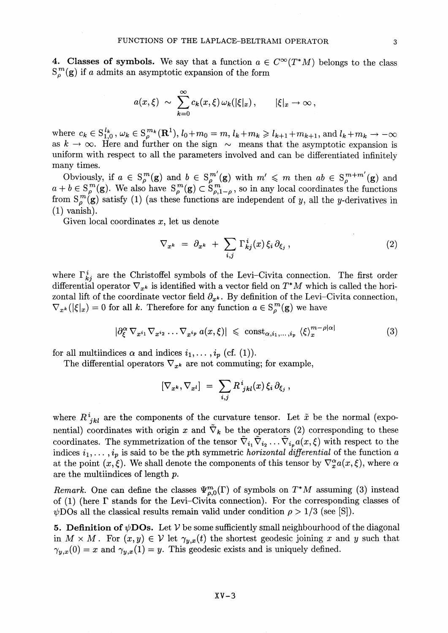**4. Classes of symbols.** We say that a function  $a \in C^{\infty}(T^{*}M)$  belongs to the cla  $S_{o}^{m}(\mathbf{g})$  if a admits an asymptotic expansion of the form

$$
a(x,\xi) \sim \sum_{k=0}^{\infty} c_k(x,\xi) \omega_k(|\xi|_x), \qquad |\xi|_x \to \infty,
$$

where  $c_k \in S^{l_k}_{1,0}$ ,  $\omega_k \in S^{m_k}_o(\mathbf{R}^1), l_0+m_0 = m, l_k+m_k \geq l_{k+1}+m_{k+1}$ , and  $l_k+m_k \to -\infty$ as  $k \to \infty$ . Here and further on the sign  $\sim$  means that the asymptotic expansion is uniform with respect to all the parameters involved and can be differentiated infinitely many times.

Obviously, if  $a \in S^m(\mathbf{g})$  and  $b \in S^{m'}(\mathbf{g})$  with  $m' \leq m$  then  $ab \in S^{m+m'}(\mathbf{g})$  and Obviously, if  $a \in S^m_\rho(g)$  and  $b \in S^{m'}_\rho(g)$  with  $m' \leq m$  then  $ab \in S^{m+m'}_\rho(g)$  and  $a + b \in S^m_\rho(g)$ . We also have  $S^m_\rho(g) \subset S^m_{\rho(1-\rho)}$ , so in any local coordinates the functions from  $S^m(\mathbf{g})$  satisfy (1) (as these functions are independent of y, all the y-derivatives in<br>from  $S^m(\mathbf{g})$  satisfy (1) (as these functions are independent of y, all the y-derivatives in  $(1)$  vanish) (1) vanish).<br>Given local coordinates  $x$ , let us denote

$$
\nabla_{x^k} = \partial_{x^k} + \sum_{i,j} \Gamma^i_{kj}(x) \xi_i \partial_{\xi_j},
$$
\n(2)

where  $\Gamma_{ki}^i$  are the Christoffel symbols of the Levi-Civita connection. The first order differential operator  $\nabla_{x^k}$  is identified with a vector field on  $T^*M$  which is called the horizontal lift of the coordinate vector field  $\partial_{x^k}$ . By definition of the Levi-Civita connection,  $\nabla_{x^k}(|\xi|_x) = 0$  for all k. Therefore for any function  $a \in S^m_\rho(g)$  we have

$$
|\partial_{\xi}^{\alpha} \nabla_{x^{i_1}} \nabla_{x^{i_2}} \dots \nabla_{x^{i_p}} a(x,\xi)| \leq \text{ const}_{\alpha,i_1,\dots,i_p} \langle \xi \rangle_x^{m-\rho|\alpha|}
$$
 (3)

for all multiindices  $\alpha$  and indices  $i_1, \ldots, i_p$  (cf. (1)).

The differential operators  $\nabla_{x^k}$  are not commuting; for example,

$$
[\nabla_{x^k}, \nabla_{x^l}] = \sum_{i,j} R^i_{jkl}(x) \, \xi_i \, \partial_{\xi_j} \,,
$$

where  $R^i_{ikl}$  are the components of the curvature tensor. Let  $\tilde{x}$  be the normal (exponential) coordinates with origin x and  $\tilde{\nabla}_k$  be the operators (2) corresponding to these coordinates. The symmetrization of the tensor  $\tilde{\nabla}_{i_1}\tilde{\nabla}_{i_2}\dots\tilde{\nabla}_{i_p}a(x,\xi)$  with respect to the indices  $i_1, \ldots, i_p$  is said to be the pth symmetric *horizontal differential* of the function a at the point  $(x, \xi)$ . We shall denote the components of this tensor by  $\nabla_x^{\alpha} a(x, \xi)$ , where  $\alpha$ are the multiindices of length *p.*

*Remark.* One can define the classes  $\Psi^m_{\rho,0}(\Gamma)$  of symbols on  $T^*M$  assuming (3) instead of (1) (here  $\Gamma$  stands for the Levi-Civita connection). For the corresponding classes of  $\psi$ DOs all the classical results remain valid under condition  $\rho > 1/3$  (see [S]).

**5. Definition of**  $\psi$ **DOs.** Let  $V$  be some sufficiently small neighbourhood of the diagonal in  $M \times M$ . For  $(x, y) \in V$  let  $\gamma_{y,x}(t)$  the shortest geodesic joining x and y such that  $\gamma_{y,x}(0) = x$  and  $\gamma_{y,x}(1) = y$ . This geodesic exists and is uniquely defined.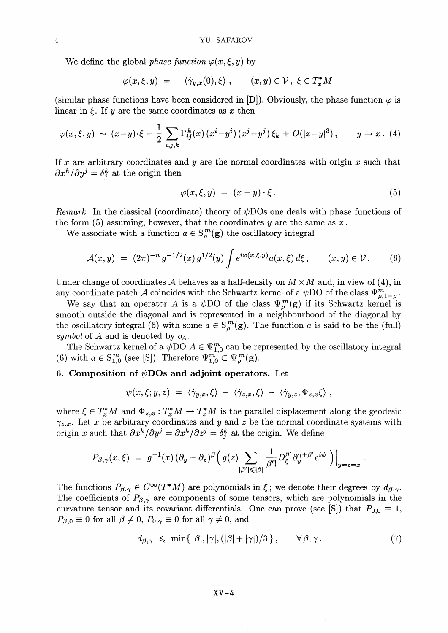We define the global phase function 
$$
\varphi(x, \xi, y)
$$
 by  

$$
\varphi(x, \xi, y) = -\langle \dot{\gamma}_{y,x}(0), \xi \rangle , \qquad (x, y) \in \mathcal{V}, \ \xi \in T_x^*M
$$

(similar phase functions have been considered in [D]). Obviously, the phase function  $\varphi$  is linear in  $\xi$ . If y are the same coordinates as x then

$$
\varphi(x,\xi,y) \sim (x-y)\cdot \xi - \frac{1}{2}\sum_{i,j,k}\Gamma_{ij}^k(x)\left(x^i-y^i\right)\left(x^j-y^j\right)\xi_k + O(|x-y|^3)\,,\qquad y\to x\,.\tag{4}
$$

If x are arbitrary coordinates and y are the normal coordinates with origin x such that  $\partial x^k / \partial y^j = \delta^k_i$  at the origin then

$$
\varphi(x,\xi,y) = (x-y) \cdot \xi. \tag{5}
$$

*Remark.* In the classical (coordinate) theory of  $\psi$ DOs one deals with phase functions of the form (5) assuming, however, that the coordinates *y* are the same as *x*.

We associate with a function  $a \in S^m_{\rho}(\mathbf{g})$  the oscillatory integral

$$
\mathcal{A}(x,y) = (2\pi)^{-n} g^{-1/2}(x) g^{1/2}(y) \int e^{i\varphi(x,\xi,y)} a(x,\xi) d\xi, \qquad (x,y) \in \mathcal{V}.
$$
 (6)

Under change of coordinates A behaves as a half-density on  $M \times M$  and, in view of (4), in any coordinate patch A coincides with the Schwartz kernel of a  $\psi$ DO of the class  $\Psi^m_{o,1-o}$ .

We say that an operator A is a  $\psi$ DO of the class  $\Psi_{\rho}^{m}(\mathbf{g})$  if its Schwartz kernel is smooth outside the diagonal and is represented in a neighbourhood of the diagonal by the oscillatory integral (6) with some  $a \in S^m_{\rho}(\mathbf{g})$ . The function a is said to be the (full) *symbol* of A and is denoted by  $\sigma_A$ .

The Schwartz kernel of a  $\psi$ DO  $A \in \Psi_{1,0}^m$  can be represented by the oscillatory integral (6) with  $a \in S^{m}_{1,0}$  (see [S]). Therefore  $\Psi^{m}_{1,0} \subset \Psi^{m}_{\rho}(\mathbf{g})$ .

## **6. Composition of**  $\psi$ **DOs and adjoint operators.** Let

$$
\psi(x,\xi;y,z) = \langle \dot{\gamma}_{y,x},\xi \rangle - \langle \dot{\gamma}_{z,x},\xi \rangle - \langle \dot{\gamma}_{y,z},\Phi_{z,x}\xi \rangle,
$$

where  $\xi \in T_x^*M$  and  $\Phi_{z,x}: T_x^*M \to T_z^*M$  is the parallel displacement along the geodesic where  $\zeta \subset T_x^* M$  and  $\zeta_{z,x} : T_x^* M \to T_z^* M$  is the parameterisphasement along the geodesic  $\gamma_{z,x}$ . Let x be arbitrary coordinates and y and z be the normal coordinate systems with origin x such that  $\partial x^k / \partial y^j = \partial x^k / \partial z^j = \delta^k_i$  at the origin. We define

$$
P_{\beta,\gamma}(x,\xi) = g^{-1}(x) \, (\partial_y + \partial_z)^\beta \Big( g(z) \sum_{|\beta'| \leqslant |\beta|} \frac{1}{\beta'!} D_\xi^{\beta'} \partial_y^{\gamma+\beta'} e^{i\psi} \,\Big) \Big|_{y=z=x} \ .
$$

The functions  $P_{\beta,\gamma} \in C^{\infty}(T^*M)$  are polynomials in  $\xi$ ; we denote their degrees by  $d_{\beta,\gamma}$ . The coefficients of  $P_{\beta,\gamma}$  are components of some tensors, which are polynomials in the curvature tensor and its covariant differentials. One can prove (see [S]) that  $P_{0,0} \equiv 1$ ,  $P_{\beta,0} \equiv 0$  for all  $\beta \neq 0$ ,  $P_{0,\gamma} \equiv 0$  for all  $\gamma \neq 0$ , and

$$
d_{\beta,\gamma} \leqslant \min\{ |\beta|, |\gamma|, (|\beta| + |\gamma|)/3 \}, \qquad \forall \beta, \gamma. \tag{7}
$$

$$
X\,V-4
$$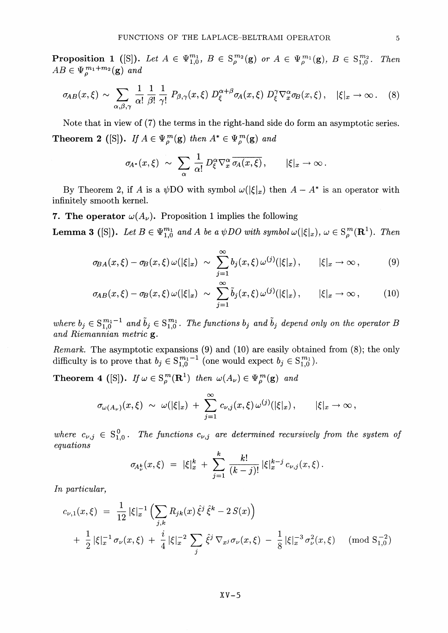**Proposition 1** ([S]). Let  $A \in \Psi_{1,0}^{m_1}$ ,  $B \in S^{m_2}(\mathbf{g})$  or  $A \in \Psi_{\rho}^{m_1}(\mathbf{g})$ ,  $B \in S^{m_2}_{1,0}$ . Then  $AB \in \Psi_{\rho}^{m_1+m_2}(\mathbf{g})$  and

$$
\sigma_{AB}(x,\xi) \sim \sum_{\alpha,\beta,\gamma} \frac{1}{\alpha!} \frac{1}{\beta!} \frac{1}{\gamma!} P_{\beta,\gamma}(x,\xi) D_{\xi}^{\alpha+\beta} \sigma_A(x,\xi) D_{\xi}^{\gamma} \nabla_x^{\alpha} \sigma_B(x,\xi), \quad |\xi|_x \to \infty. \quad (8)
$$

Note that in view of (7) the terms in the right-hand side do form an asymptotic series. **Theorem 2** ([S]). If  $A \in \Psi_{\rho}^{m}(\mathbf{g})$  then  $A^* \in \Psi_{\rho}^{m}(\mathbf{g})$  and

$$
\sigma_{\!A^*}(x,\xi) \,\,\sim\,\, \sum_{\alpha}\,\frac{1}{\alpha!}\,D^\alpha_\xi\nabla^\alpha_x\,\overline{\sigma_A(x,\xi)}\,,\qquad |\xi|_x\to\infty\,.
$$

By Theorem 2, if A is a  $\psi$ DO with symbol  $\psi(|\xi|_x)$  then  $A - A^*$  is an operator with infinitely smooth kernel.

**7. The operator**  $\omega(A_\nu)$ . Proposition 1 implies the following

**Lemma 3** ([S]). Let  $B \in \Psi_{1,0}^{m_1}$  and A be a  $\psi DO$  with symbol  $\omega(|\xi|_x)$ ,  $\omega \in S^m_\rho(\mathbf{R}^1)$ . The

$$
\sigma_{BA}(x,\xi) - \sigma_B(x,\xi) \,\omega(|\xi|_x) \,\,\sim\,\,\sum_{j=1}^{\infty} b_j(x,\xi) \,\omega^{(j)}(|\xi|_x)\,,\qquad |\xi|_x \to \infty\,,\tag{9}
$$

$$
\sigma_{AB}(x,\xi) - \sigma_B(x,\xi) \,\omega(|\xi|_x) \,\,\sim\,\,\sum_{j=1}^{\infty} \tilde{b}_j(x,\xi) \,\omega^{(j)}(|\xi|_x)\,,\qquad |\xi|_x \to \infty\,,\tag{10}
$$

where  $b_j \in S^{m_1-1}_{1,0}$  and  $\tilde{b}_j \in S^{m_1}_{1,0}$ . The functions  $b_j$  and  $\tilde{b}_j$  depend only on the operator B *and Riemannian metric* g.

*Remark.* The asymptotic expansions (9) and (10) are easily obtained from (8); the only difficulty is to prove that  $b_j \in S^{m_1-1}_{1,0}$  (one would expect  $b_j \in S^{m_1}_{1,0}$ ).

**Theorem 4** ([S]). If  $\omega \in S^m_{\rho}(\mathbf{R}^1)$  then  $\omega(A_{\nu}) \in \Psi^m_{\rho}(\mathbf{g})$  and

$$
\sigma_{\omega(A_{\nu})}(x,\xi) \,\,\sim\,\, \omega(|\xi|_x) \,\,+\,\, \sum_{j=1}^\infty \,c_{\nu,j}(x,\xi)\,\omega^{(j)}(|\xi|_x)\,, \qquad |\xi|_x \to \infty\,,
$$

where  $c_{\nu,j} \in S^0_{1,0}$ . The functions  $c_{\nu,j}$  are determined recursively from the system of *equations*

$$
\sigma_{\!A_\nu^k}(x,\xi) \; = \; |\xi|_x^k \; + \; \sum_{j=1}^k \; \frac{k!}{(k-j)!} \; |\xi|_x^{k-j} \, c_{\nu,j}(x,\xi) \, .
$$

In particular,

$$
c_{\nu,1}(x,\xi) = \frac{1}{12} |\xi|_x^{-1} \left( \sum_{j,k} R_{jk}(x) \hat{\xi}^j \hat{\xi}^k - 2 S(x) \right)
$$
  
+ 
$$
\frac{1}{2} |\xi|_x^{-1} \sigma_{\nu}(x,\xi) + \frac{i}{4} |\xi|_x^{-2} \sum_j \hat{\xi}^j \nabla_{x^j} \sigma_{\nu}(x,\xi) - \frac{1}{8} |\xi|_x^{-3} \sigma_{\nu}^2(x,\xi) \pmod{S_{1,0}^{-2}}
$$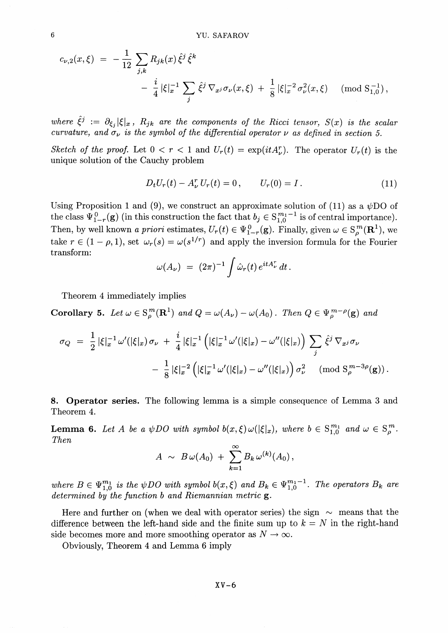$$
c_{\nu,2}(x,\xi) = -\frac{1}{12} \sum_{j,k} R_{jk}(x) \hat{\xi}^j \hat{\xi}^k
$$
  
-  $\frac{i}{4} |\xi|_x^{-1} \sum_j \hat{\xi}^j \nabla_{x^j} \sigma_{\nu}(x,\xi) + \frac{1}{8} |\xi|_x^{-2} \sigma_{\nu}^2(x,\xi) \pmod{S_{1,0}^{-1}},$ 

*where*  $\hat{\xi}^j := \partial_{\xi_j} |\xi|_x$ ,  $R_{jk}$  are the components of the Ricci tensor,  $S(x)$  is the scalar *curvature, and*  $\sigma_{\nu}$  is the symbol of the differential operator  $\nu$  as defined in section 5.

*Sketch of the proof.* Let  $0 < r < 1$  and  $U_r(t) = \exp(itA_r^r)$ . The operator  $U_r(t)$  is the unique solution of the Cauchy problem

$$
D_t U_r(t) - A^r_\nu U_r(t) = 0, \qquad U_r(0) = I. \tag{11}
$$

Using Proposition 1 and (9), we construct an approximate solution of (11) as a  $\psi$ DO of the class  $\Psi^0_{1-r}(\mathbf{g})$  (in this construction the fact that  $b_j \in S^{m_1-1}_{1,0}$  is of central importance). Then, by well known *a priori* estimates,  $U_r(t) \in \Psi^0_{1-r}(\mathbf{g})$ . Finally, given  $\omega \in S^m(\mathbf{R}^1)$ , we take  $r \in (1 - \rho, 1)$ , set  $\omega_r(s) = \omega(s^{1/r})$  and apply the inversion formula for the Fourier transform:

$$
\omega(A_\nu) = (2\pi)^{-1} \int \hat{\omega}_r(t) e^{itA_\nu^r} dt.
$$

Theorem 4 immediately implies

**Corollary 5.** Let  $\omega \in S^m_{\rho}(\mathbf{R}^1)$  and  $Q = \omega(A_{\nu}) - \omega(A_0)$ . Then  $Q \in \Psi_{\rho}^{m-\rho}(\mathbf{g})$  and

$$
\sigma_Q = \frac{1}{2} |\xi|_x^{-1} \omega'(|\xi|_x) \sigma_{\nu} + \frac{i}{4} |\xi|_x^{-1} (|\xi|_x^{-1} \omega'(|\xi|_x) - \omega''(|\xi|_x)) \sum_j \hat{\xi}^j \nabla_{x^j} \sigma_{\nu} - \frac{1}{8} |\xi|_x^{-2} (|\xi|_x^{-1} \omega'(|\xi|_x) - \omega''(|\xi|_x)) \sigma_{\nu}^2 \pmod{S_{\rho}^{m-3\rho}(g)}.
$$

**8. Operator series.** The following lemma is a simple consequence of Lemma 3 and Theorem 4.

**Lemma 6.** Let A be a  $\psi$  DO with symbol  $b(x,\xi) \omega({\vert \xi \vert_x})$ , where  $b \in S^{m_1}_{1,0}$  and  $\omega \in S^m_\rho$ *Then*

$$
A \sim B\,\omega(A_0) + \sum_{k=1}^{\infty} B_k\,\omega^{(k)}(A_0),
$$

where  $B \in \Psi_{1,0}^{m_1}$  is the  $\psi DO$  with symbol  $b(x,\xi)$  and  $B_k \in \Psi_{1,0}^{m_1-1}$ . The operators  $B_k$  are *determined by the function b and Riemannian metric* g.

Here and further on (when we deal with operator series) the sign  $\sim$  means that the difference between the left-hand side and the finite sum up to  $k = N$  in the right-hand side becomes more and more smoothing operator as  $N \to \infty$ .

Obviously, Theorem 4 and Lemma 6 imply

 $XV-6$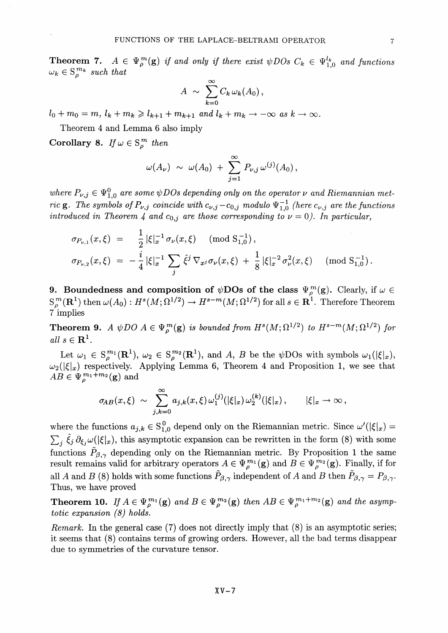**Theorem 7.**  $A \in \Psi_{\rho}^{m}(\mathbf{g})$  *if and only if there exist*  $\psi$ *DOs*  $C_k \in \Psi_{10}^{l_k}$  *and functions*  $\omega_k \in S^{m_k}_{\rho}$  such that

$$
A \sim \sum_{k=0}^{\infty} C_k \,\omega_k(A_0)\,,
$$

 $l_0 + m_0 = m$ ,  $l_k + m_k \geq l_{k+1} + m_{k+1}$  and  $l_k + m_k \to -\infty$  as  $k \to \infty$ .

Theorem 4 and Lemma 6 also imply

**Corollary 8.** *If*  $\omega \in S^m$  *then* 

$$
\omega(A_{\nu}) \sim \omega(A_0) + \sum_{j=1}^{\infty} P_{\nu,j} \,\omega^{(j)}(A_0) \,,
$$

where  $P_{\nu,j} \in \Psi_{1,0}^0$  are some  $\psi$ DOs depending only on the operator v and Riemannian met*ric* **g**. The symbols of  $P_{\nu,j}$  coincide with  $c_{\nu,j} - c_{0,j}$  modulo  $\Psi_{1,0}^{-1}$  (here  $c_{\nu,j}$  are the functions *introduced in Theorem 4 and*  $c_{0,j}$  *are those corresponding to*  $\nu = 0$ *. In particular,* 

$$
\sigma_{P_{\nu,1}}(x,\xi) = \frac{1}{2} |\xi|_x^{-1} \sigma_{\nu}(x,\xi) \pmod{S_{1,0}^{-1}},
$$
  

$$
\sigma_{P_{\nu,2}}(x,\xi) = -\frac{i}{4} |\xi|_x^{-1} \sum_j \hat{\xi}^j \nabla_{x^j} \sigma_{\nu}(x,\xi) + \frac{1}{8} |\xi|_x^{-2} \sigma_{\nu}^2(x,\xi) \pmod{S_{1,0}^{-1}}.
$$

9. Boundedness and composition of  $\psi$ DOs of the class  $\Psi_{\rho}^{m}(\mathbf{g})$ . Clearly, if  $\omega \in$ **9.** Boundedness and composition of  $\psi$ DOS of the class  $\Psi_{\rho}^{(m)}(g)$ . Clearly, if  $\omega \in S_{\rho}^{m}(\mathbf{R}^{1})$  then  $\omega(A_{0}): H^{s}(M; \Omega^{1/2}) \to H^{s-m}(M; \Omega^{1/2})$  for all  $s \in \mathbf{R}^{1}$ . Therefore Theorem 7 implies

**Theorem 9.** A  $\psi$ DO  $A \in \Psi_{\alpha}^{m}(\mathbf{g})$  is bounded from  $H^{s}(M; \Omega^{1/2})$  to  $H^{s-m}(M; \Omega^{1/2})$  fo all  $s \in \mathbb{R}^1$ 

Let  $\omega_1 \in S^{m_1}(\mathbf{R}^1), \omega_2 \in S^{m_2}(\mathbf{R}^1)$ , and A, B be the  $\psi$ DOs with symbols  $\omega_1(|\xi|_x)$  $\omega_2(|\xi|_x)$  respectively. Applying Lemma 6, Theorem 4 and Proposition 1, we see that  $AB \in \Psi_{o}^{m_1+m_2}(\mathbf{g})$  and

$$
\sigma_{\!AB}(x,\xi) \,\,\sim\,\, \sum_{j,k=0}^\infty a_{j,k}(x,\xi)\,\omega_1^{(j)}(|\xi|_x)\,\omega_2^{(k)}(|\xi|_x)\,,\qquad |\xi|_x\to\infty\,,
$$

where the functions  $a_{j,k} \in S_{1,0}^0$  depend only on the Riemannian metric. Since  $\omega'(|\xi|_x) =$  $\sum_j \hat{\xi}_j \partial_{\xi_j}\omega(|\xi|_x)$ , this asymptotic expansion can be rewritten in the form (8) with some functions  $\tilde{P}_{\beta,\gamma}$  depending only on the Riemannian metric. By Proposition 1 the same result remains valid for arbitrary operators  $A \in \Psi_{\rho}^{m_1}(\mathbf{g})$  and  $B \in \Psi_{\rho}^{m_2}(\mathbf{g})$ . Finally, if for all A and B (8) holds with some functions  $\tilde{P}_{\beta,\gamma}$  independent of A and B then  $\tilde{P}_{\beta,\gamma} = P_{\beta,\gamma}$ . Thus, we have proved

**Theorem 10.** If  $A \in \Psi_{\rho}^{m_1}(\mathbf{g})$  and  $B \in \Psi_{\rho}^{m_2}(\mathbf{g})$  then  $AB \in \Psi_{\rho}^{m_1+m_2}(\mathbf{g})$  and the asymp*totic expansion (8) holds.*

*Remark.* In the general case (7) does not directly imply that (8) is an asymptotic series; it seems that (8) contains terms of growing orders. However, all the bad terms disappear due to symmetries of the curvature tensor.